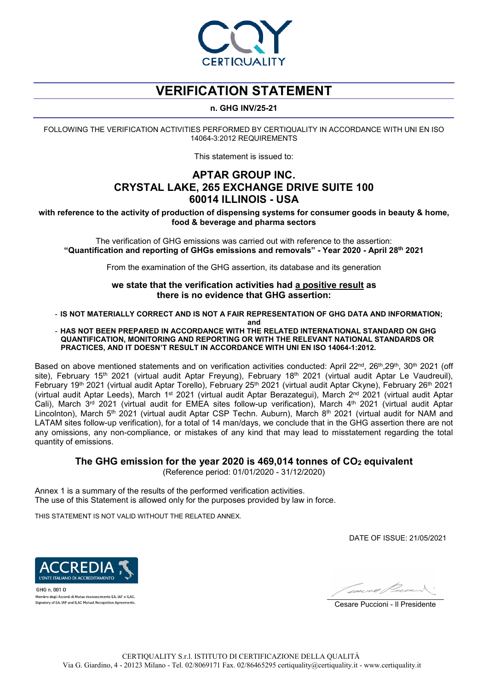

# **VERIFICATION STATEMENT**

### **n. GHG INV/25-21**

FOLLOWING THE VERIFICATION ACTIVITIES PERFORMED BY CERTIQUALITY IN ACCORDANCE WITH UNI EN ISO 14064-3:2012 REQUIREMENTS

This statement is issued to:

## **APTAR GROUP INC. CRYSTAL LAKE, 265 EXCHANGE DRIVE SUITE 100 60014 ILLINOIS - USA**

**with reference to the activity of production of dispensing systems for consumer goods in beauty & home, food & beverage and pharma sectors**

The verification of GHG emissions was carried out with reference to the assertion: **"Quantification and reporting of GHGs emissions and removals" - Year 2020 - April 28th 2021**

From the examination of the GHG assertion, its database and its generation

**we state that the verification activities had a positive result as there is no evidence that GHG assertion:**

- **IS NOT MATERIALLY CORRECT AND IS NOT A FAIR REPRESENTATION OF GHG DATA AND INFORMATION;**

**and**

### - **HAS NOT BEEN PREPARED IN ACCORDANCE WITH THE RELATED INTERNATIONAL STANDARD ON GHG QUANTIFICATION, MONITORING AND REPORTING OR WITH THE RELEVANT NATIONAL STANDARDS OR PRACTICES, AND IT DOESN'T RESULT IN ACCORDANCE WITH UNI EN ISO 14064-1:2012.**

Based on above mentioned statements and on verification activities conducted: April 22<sup>nd</sup>, 26<sup>th</sup>,29<sup>th</sup>, 30<sup>th</sup> 2021 (off site), February 15<sup>th</sup> 2021 (virtual audit Aptar Freyung), February 18<sup>th</sup> 2021 (virtual audit Aptar Le Vaudreuil), February 19th 2021 (virtual audit Aptar Torello), February 25th 2021 (virtual audit Aptar Ckyne), February 26th 2021 (virtual audit Aptar Leeds), March 1st 2021 (virtual audit Aptar Berazategui), March 2nd 2021 (virtual audit Aptar Cali), March 3<sup>rd</sup> 2021 (virtual audit for EMEA sites follow-up verification), March 4<sup>th</sup> 2021 (virtual audit Aptar Lincolnton), March 5<sup>th</sup> 2021 (virtual audit Aptar CSP Techn. Auburn), March 8<sup>th</sup> 2021 (virtual audit for NAM and LATAM sites follow-up verification), for a total of 14 man/days, we conclude that in the GHG assertion there are not any omissions, any non-compliance, or mistakes of any kind that may lead to misstatement regarding the total quantity of emissions.

## **The GHG emission for the year 2020 is 469,014 tonnes of CO2 equivalent**

(Reference period: 01/01/2020 - 31/12/2020)

Annex 1 is a summary of the results of the performed verification activities. The use of this Statement is allowed only for the purposes provided by law in force.

THIS STATEMENT IS NOT VALID WITHOUT THE RELATED ANNEX.

DATE OF ISSUE: 21/05/2021



GHG n. 001 0 .<br>Membro degli Accordi di Mutuo riconoscimento EA, IAF e ILAC. Signatory of EA, IAF and ILAC Mutual Recognition Agreemer

Cesare Puccioni - Il Presidente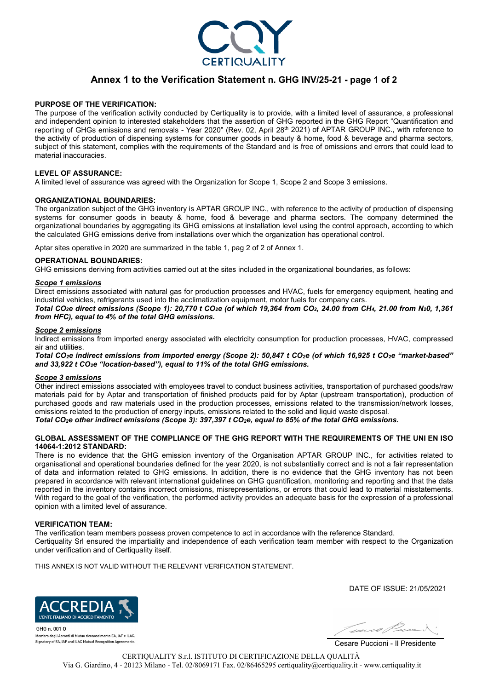

## **Annex 1 to the Verification Statement n. GHG INV/25-21 - page 1 of 2**

#### **PURPOSE OF THE VERIFICATION:**

The purpose of the verification activity conducted by Certiquality is to provide, with a limited level of assurance, a professional and independent opinion to interested stakeholders that the assertion of GHG reported in the GHG Report "Quantification and reporting of GHGs emissions and removals - Year 2020" (Rev. 02, April 28th 2021) of APTAR GROUP INC., with reference to the activity of production of dispensing systems for consumer goods in beauty & home, food & beverage and pharma sectors, subject of this statement, complies with the requirements of the Standard and is free of omissions and errors that could lead to material inaccuracies.

#### **LEVEL OF ASSURANCE:**

A limited level of assurance was agreed with the Organization for Scope 1, Scope 2 and Scope 3 emissions.

#### **ORGANIZATIONAL BOUNDARIES:**

The organization subject of the GHG inventory is APTAR GROUP INC., with reference to the activity of production of dispensing systems for consumer goods in beauty & home, food & beverage and pharma sectors. The company determined the organizational boundaries by aggregating its GHG emissions at installation level using the control approach, according to which the calculated GHG emissions derive from installations over which the organization has operational control.

Aptar sites operative in 2020 are summarized in the table 1, pag 2 of 2 of Annex 1.

#### **OPERATIONAL BOUNDARIES:**

GHG emissions deriving from activities carried out at the sites included in the organizational boundaries, as follows:

### *Scope 1 emissions*

Direct emissions associated with natural gas for production processes and HVAC, fuels for emergency equipment, heating and industrial vehicles, refrigerants used into the acclimatization equipment, motor fuels for company cars. *Total CO2e direct emissions (Scope 1): 20,770 t CO2e (of which 19,364 from CO2, 24.00 from CH4, 21.00 from N20, 1,361*

*from HFC), equal to 4% of the total GHG emissions.* 

#### *Scope 2 emissions*

Indirect emissions from imported energy associated with electricity consumption for production processes, HVAC, compressed air and utilities.

*Total CO2e indirect emissions from imported energy (Scope 2): 50,847 t CO2e (of which 16,925 t CO2e "market-based" and 33,922 t CO2e "location-based"), equal to 11% of the total GHG emissions.* 

#### *Scope 3 emissions*

Other indirect emissions associated with employees travel to conduct business activities, transportation of purchased goods/raw materials paid for by Aptar and transportation of finished products paid for by Aptar (upstream transportation), production of purchased goods and raw materials used in the production processes, emissions related to the transmission/network losses, emissions related to the production of energy inputs, emissions related to the solid and liquid waste disposal. *Total CO2e other indirect emissions (Scope 3): 397,397 t CO2e, equal to 85% of the total GHG emissions.*

#### **GLOBAL ASSESSMENT OF THE COMPLIANCE OF THE GHG REPORT WITH THE REQUIREMENTS OF THE UNI EN ISO 14064-1:2012 STANDARD:**

There is no evidence that the GHG emission inventory of the Organisation APTAR GROUP INC., for activities related to organisational and operational boundaries defined for the year 2020, is not substantially correct and is not a fair representation of data and information related to GHG emissions. In addition, there is no evidence that the GHG inventory has not been prepared in accordance with relevant international guidelines on GHG quantification, monitoring and reporting and that the data reported in the inventory contains incorrect omissions, misrepresentations, or errors that could lead to material misstatements. With regard to the goal of the verification, the performed activity provides an adequate basis for the expression of a professional opinion with a limited level of assurance.

#### **VERIFICATION TEAM:**

The verification team members possess proven competence to act in accordance with the reference Standard. Certiquality Srl ensured the impartiality and independence of each verification team member with respect to the Organization under verification and of Certiquality itself.

THIS ANNEX IS NOT VALID WITHOUT THE RELEVANT VERIFICATION STATEMENT.

DATE OF ISSUE: 21/05/2021



 $GHG n$   $0010$ Membro degli Accordi di Mutuo riconoscimento EA, IAF e ILAC. Signatory of EA, IAF and ILAC Mutual Recognition Agreements



Cesare Puccioni - Il Presidente

CERTIQUALITY S.r.l. ISTITUTO DI CERTIFICAZIONE DELLA QUALITÀ Via G. Giardino, 4 - 20123 Milano - Tel. 02/8069171 Fax. 02/86465295 certiquality@certiquality.it - www.certiquality.it